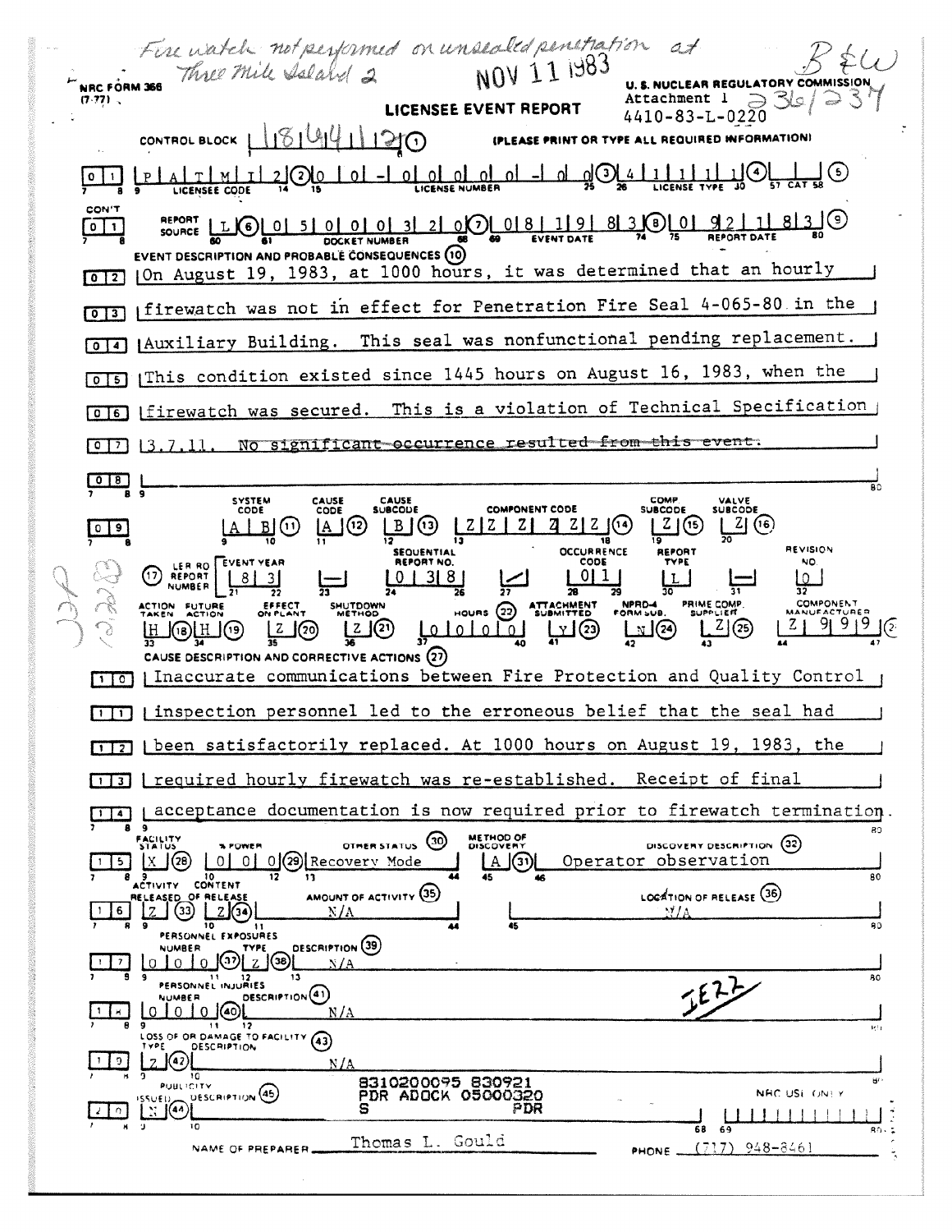Fire watch not performed on unsealed penetration at **U. S. NUCLEAR REGULATORY** Attachment 1  $(7.77)$ . LICENSEE EVENT REPORT 4410-83-L-0220  $1814411200$ CONTROL BLOCK | (PLEASE PRINT OR TYPE ALL REQUIRED INFORMATION)  $1|1|1|$ <u>-Iolololol</u> 76) 17 <u>വ</u> CON'T SOURCE LLG 0 5 0 0 0 3 2 0 0 18 1 9 8 3 0 0 1 9 2 1 8 3 0  $\boxed{0}$ DOCKET NUMBER EVENT DESCRIPTION AND PROBABLE CONSEQUENCES (10) 012 | On August 19, 1983, at 1000 hours, it was determined that an hourly [0]3] [firewatch was not in effect for Penetration Fire Seal 4-065-80 in the [0]4] [Auxiliary Building. This seal was nonfunctional pending replacement. [0]5] [This condition existed since 1445 hours on August 16, 1983, when the This is a violation of Technical Specification 06 [firewatch was secured. significant occurrence resulted from this event.  $\sqrt{27}13.7.$  $N\sigma$  $\begin{array}{c|c} \hline 0 & B & L \\ \hline \end{array}$ SYSTEM<br>CODE CAUSE<br>CODE CAUSE<br>SUBCODE COMP VALVE<br>SUBCODE **COMPONENT CODE SUBCODE**  $Z(16)$  $A(2)$  $B(3)$   $ZZ$   $Z$   $Z$   $Z$   $Z$   $Z$   $G$ |  $2| (16)$  $A \mid B|(n)$ 18 **REVISION SEQUENTIAL OCCURRENCE** REPORT NO. CODE NO. LER RO<br>REPORT  $(17)$  $011$  $|8|$  $0 | 3 | 8 |$ lo I **NUMBER** EFFECT<br>NPLAN SHUTDOWN COMPONENT ACTION FUTURE  $\frac{1}{42}$  $\frac{1}{29}$  $\frac{Z}{2}$  (25) J(20)  $2(2)$ لعلمي  $\binom{23}{2}$  $\Omega$ CAUSE DESCRIPTION AND CORRECTIVE ACTIONS (27) [1]] Inaccurate communications between Fire Protection and Quality Control [1]] inspection personnel led to the erroneous belief that the seal had [17] | been satisfactorily replaced. At 1000 hours on August 19, 1983, the I required hourly firewatch was re-established. Receipt of final  $\Box$ acceptance documentation is now required prior to firewatch termination  $\Box$ METHOD OF **FACILITY**<br>STATUS OTHER STATUS (30) DISCOVERY DESCRIPTION (32) 0 0 0 0 29 Recovery Mode Operator observation  $5$  $[A](3)$ 80 10<br>CONTENT AMOUNT OF ACTIVITY (35) LOCATION OF RELEASE (36) OF RELEA  $Z$   $(33)$   $Z$   $(34)$ 6. PERSONNEL EXPOSURES DESCRIPTION (39)  $_0$  (32)  $_2$  (38)  $\Omega$ N/A 21 11 12<br>PERSONNEL INJURIES 80 **TEZZ** DESCRIPTION<sup>(41)</sup> NUMBER 0 (40)  $N/2$ OSS OF OR DAMAGE TO FACILITY (43)  $12$ **DESCRIPTION**  $\frac{1}{2}$  $(42)$  $N/A$ īō 8310200095 830921<br>PDR ADOCK 05000320 PUBLICITY DESCRIPTION (45) NRC USE ONEY  $\sqrt{44}$ PDR  $\frac{1}{2}$  0 Thomas L. Gould PHONE  $(T17)$  948-8461 NAME OF PREPARER.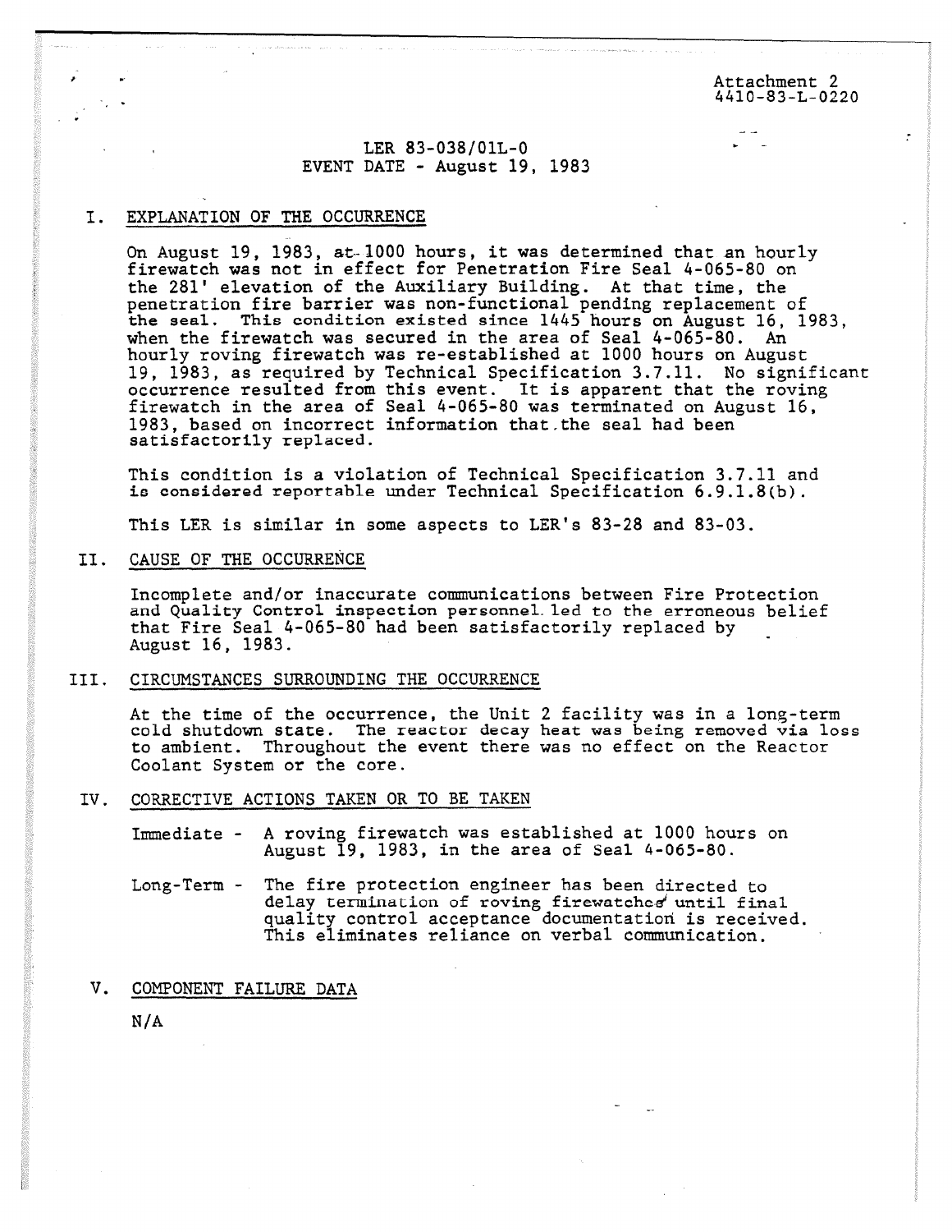Attachment 2 4410-83-L-0220

## LER 83-038/01L-0 EVENT DATE - August 19, 1983

## I. EXPLANATION OF THE OCCURRENCE

On August 19, 1983, at-1000 hours, it was determined that an hourly firewatch was not in effect for Penetration Fire Seal 4-065-80 on the 281' elevation of the Auxiliary Building. At that time, the penetration fire barrier was non-functional pending replacement of the seal. This condition existed since 1445 hours on August 16, 1983, when the firewatch was secured in the area of Seal 4-065-80. An hourly roving firewatch was re-established at 1000 hours on August 19, 1983, as required by Technical Specification 3.7.11. No significant occurrence resulted from this event. It is apparent that the roving firewatch in the area of Seal 4-065-80 was terminated on August 16, 1983, based on incorrect information that the seal had been satisfactorily replaced.

This condition is a violation of Technical Specification 3.7.11 and is considered reportable under Technical Specification 6.9.1.8(b).

This LER is similar in some aspects to LER's 83-28 and 83-03.

## II. CAUSE OF THE OCCURRENCE

Incomplete and/or inaccurate communications between Fire Protection and Quality Control inspection personneLled to the erroneous belief that Fire Seal 4-065-80 had been satisfactorily replaced by August 16, 1983.

## III. CIRCUMSTANCES SURROUNDING THE OCCURRENCE

At the time of the occurrence, the Unit 2 facility was in a long-term cold shutdown state. The reactor decay heat was being removed via loss to ambient. Throughout the event there was no effect on the Reactor Coolant System or the core.

IV. CORRECTIVE ACTIONS TAKEN OR TO BE TAKEN

Immediate - A roving firewatch was established at 1000 hours on August 19, 1983, in the area of Seal 4-065-80.

- Long-Term The fire protection engineer has been directed to delay termination of roving firewatches until final quality control acceptance documentation is received. This eliminates reliance on verbal communication.
- V. COMPONENT FAILURE DATA

N/A